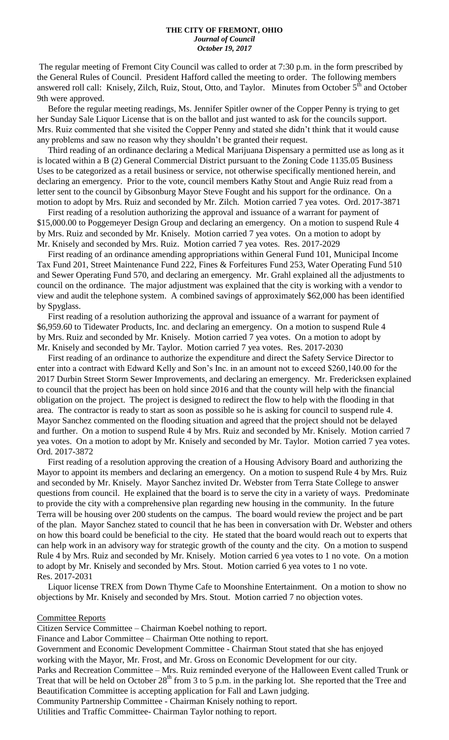#### **THE CITY OF FREMONT, OHIO** *Journal of Council October 19, 2017*

The regular meeting of Fremont City Council was called to order at 7:30 p.m. in the form prescribed by the General Rules of Council. President Hafford called the meeting to order. The following members answered roll call: Knisely, Zilch, Ruiz, Stout, Otto, and Taylor. Minutes from October 5<sup>th</sup> and October 9th were approved.

 Before the regular meeting readings, Ms. Jennifer Spitler owner of the Copper Penny is trying to get her Sunday Sale Liquor License that is on the ballot and just wanted to ask for the councils support. Mrs. Ruiz commented that she visited the Copper Penny and stated she didn't think that it would cause any problems and saw no reason why they shouldn't be granted their request.

 Third reading of an ordinance declaring a Medical Marijuana Dispensary a permitted use as long as it is located within a B (2) General Commercial District pursuant to the Zoning Code 1135.05 Business Uses to be categorized as a retail business or service, not otherwise specifically mentioned herein, and declaring an emergency. Prior to the vote, council members Kathy Stout and Angie Ruiz read from a letter sent to the council by Gibsonburg Mayor Steve Fought and his support for the ordinance. On a motion to adopt by Mrs. Ruiz and seconded by Mr. Zilch. Motion carried 7 yea votes. Ord. 2017-3871

 First reading of a resolution authorizing the approval and issuance of a warrant for payment of \$15,000.00 to Poggemeyer Design Group and declaring an emergency. On a motion to suspend Rule 4 by Mrs. Ruiz and seconded by Mr. Knisely. Motion carried 7 yea votes. On a motion to adopt by Mr. Knisely and seconded by Mrs. Ruiz. Motion carried 7 yea votes. Res. 2017-2029

 First reading of an ordinance amending appropriations within General Fund 101, Municipal Income Tax Fund 201, Street Maintenance Fund 222, Fines & Forfeitures Fund 253, Water Operating Fund 510 and Sewer Operating Fund 570, and declaring an emergency. Mr. Grahl explained all the adjustments to council on the ordinance. The major adjustment was explained that the city is working with a vendor to view and audit the telephone system. A combined savings of approximately \$62,000 has been identified by Spyglass.

 First reading of a resolution authorizing the approval and issuance of a warrant for payment of \$6,959.60 to Tidewater Products, Inc. and declaring an emergency. On a motion to suspend Rule 4 by Mrs. Ruiz and seconded by Mr. Knisely. Motion carried 7 yea votes. On a motion to adopt by Mr. Knisely and seconded by Mr. Taylor. Motion carried 7 yea votes. Res. 2017-2030

 First reading of an ordinance to authorize the expenditure and direct the Safety Service Director to enter into a contract with Edward Kelly and Son's Inc. in an amount not to exceed \$260,140.00 for the 2017 Durbin Street Storm Sewer Improvements, and declaring an emergency. Mr. Fredericksen explained to council that the project has been on hold since 2016 and that the county will help with the financial obligation on the project. The project is designed to redirect the flow to help with the flooding in that area. The contractor is ready to start as soon as possible so he is asking for council to suspend rule 4. Mayor Sanchez commented on the flooding situation and agreed that the project should not be delayed and further. On a motion to suspend Rule 4 by Mrs. Ruiz and seconded by Mr. Knisely. Motion carried 7 yea votes. On a motion to adopt by Mr. Knisely and seconded by Mr. Taylor. Motion carried 7 yea votes. Ord. 2017-3872

 First reading of a resolution approving the creation of a Housing Advisory Board and authorizing the Mayor to appoint its members and declaring an emergency. On a motion to suspend Rule 4 by Mrs. Ruiz and seconded by Mr. Knisely. Mayor Sanchez invited Dr. Webster from Terra State College to answer questions from council. He explained that the board is to serve the city in a variety of ways. Predominate to provide the city with a comprehensive plan regarding new housing in the community. In the future Terra will be housing over 200 students on the campus. The board would review the project and be part of the plan. Mayor Sanchez stated to council that he has been in conversation with Dr. Webster and others on how this board could be beneficial to the city. He stated that the board would reach out to experts that can help work in an advisory way for strategic growth of the county and the city. On a motion to suspend Rule 4 by Mrs. Ruiz and seconded by Mr. Knisely. Motion carried 6 yea votes to 1 no vote. On a motion to adopt by Mr. Knisely and seconded by Mrs. Stout. Motion carried 6 yea votes to 1 no vote. Res. 2017-2031

 Liquor license TREX from Down Thyme Cafe to Moonshine Entertainment. On a motion to show no objections by Mr. Knisely and seconded by Mrs. Stout. Motion carried 7 no objection votes.

#### Committee Reports

Citizen Service Committee – Chairman Koebel nothing to report.

Finance and Labor Committee – Chairman Otte nothing to report.

Government and Economic Development Committee - Chairman Stout stated that she has enjoyed working with the Mayor, Mr. Frost, and Mr. Gross on Economic Development for our city.

Parks and Recreation Committee – Mrs. Ruiz reminded everyone of the Halloween Event called Trunk or Treat that will be held on October  $28<sup>th</sup>$  from 3 to 5 p.m. in the parking lot. She reported that the Tree and Beautification Committee is accepting application for Fall and Lawn judging.

Community Partnership Committee - Chairman Knisely nothing to report.

Utilities and Traffic Committee- Chairman Taylor nothing to report.